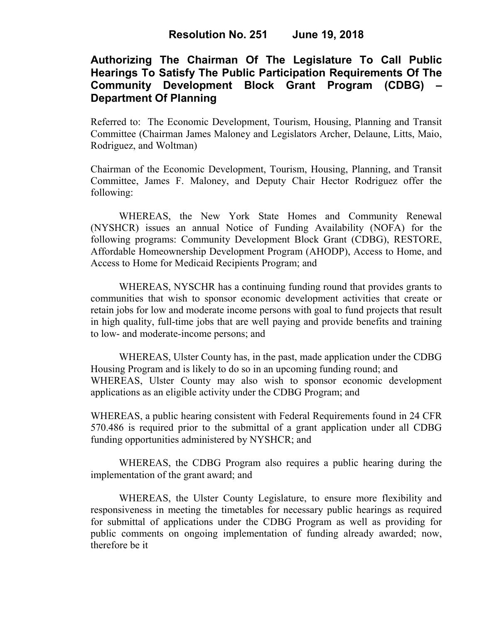# **Authorizing The Chairman Of The Legislature To Call Public Hearings To Satisfy The Public Participation Requirements Of The Community Development Block Grant Program (CDBG) – Department Of Planning**

Referred to: The Economic Development, Tourism, Housing, Planning and Transit Committee (Chairman James Maloney and Legislators Archer, Delaune, Litts, Maio, Rodriguez, and Woltman)

Chairman of the Economic Development, Tourism, Housing, Planning, and Transit Committee, James F. Maloney, and Deputy Chair Hector Rodriguez offer the following:

WHEREAS, the New York State Homes and Community Renewal (NYSHCR) issues an annual Notice of Funding Availability (NOFA) for the following programs: Community Development Block Grant (CDBG), RESTORE, Affordable Homeownership Development Program (AHODP), Access to Home, and Access to Home for Medicaid Recipients Program; and

WHEREAS, NYSCHR has a continuing funding round that provides grants to communities that wish to sponsor economic development activities that create or retain jobs for low and moderate income persons with goal to fund projects that result in high quality, full-time jobs that are well paying and provide benefits and training to low- and moderate-income persons; and

WHEREAS, Ulster County has, in the past, made application under the CDBG Housing Program and is likely to do so in an upcoming funding round; and WHEREAS, Ulster County may also wish to sponsor economic development applications as an eligible activity under the CDBG Program; and

WHEREAS, a public hearing consistent with Federal Requirements found in 24 CFR 570.486 is required prior to the submittal of a grant application under all CDBG funding opportunities administered by NYSHCR; and

 WHEREAS, the CDBG Program also requires a public hearing during the implementation of the grant award; and

WHEREAS, the Ulster County Legislature, to ensure more flexibility and responsiveness in meeting the timetables for necessary public hearings as required for submittal of applications under the CDBG Program as well as providing for public comments on ongoing implementation of funding already awarded; now, therefore be it